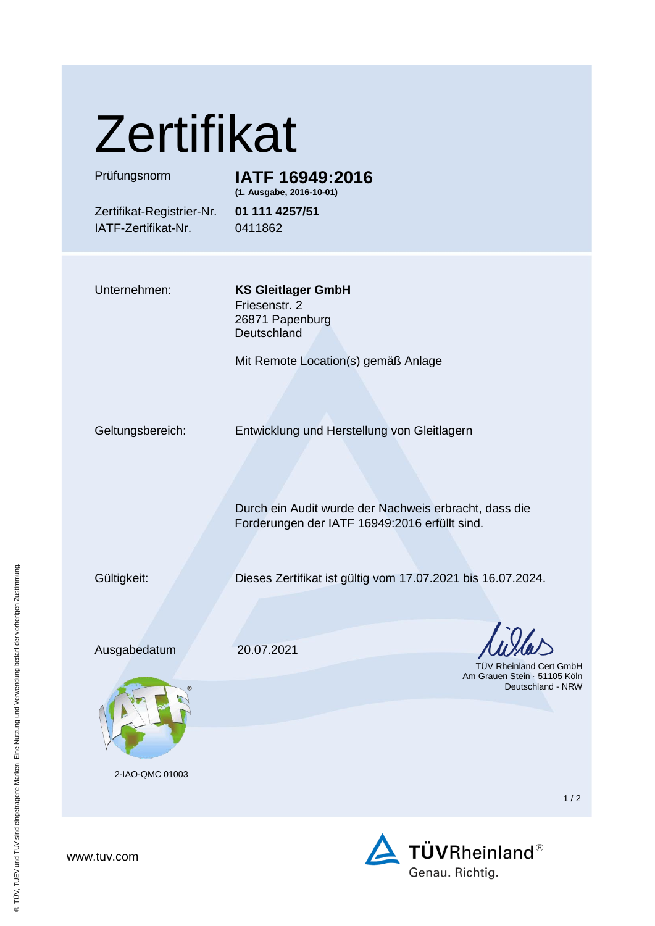| Zertifikat |
|------------|
|------------|

## Prüfungsnorm **IATF 16949:2016**

**(1. Ausgabe, 2016-10-01)**

Zertifikat-Registrier-Nr. **01 111 4257/51** IATF-Zertifikat-Nr. 0411862

Unternehmen: **KS Gleitlager GmbH** Friesenstr. 2 26871 Papenburg **Deutschland** 

Mit Remote Location(s) gemäß Anlage

Geltungsbereich: Entwicklung und Herstellung von Gleitlagern

Durch ein Audit wurde der Nachweis erbracht, dass die Forderungen der IATF 16949:2016 erfüllt sind.

Gültigkeit: Dieses Zertifikat ist gültig vom 17.07.2021 bis 16.07.2024.

Ausgabedatum 20.07.2021



2-IAO-QMC 01003

 TÜV Rheinland Cert GmbH Am Grauen Stein · 51105 Köln Deutschland - NRW

1 / 2



www.tuv.com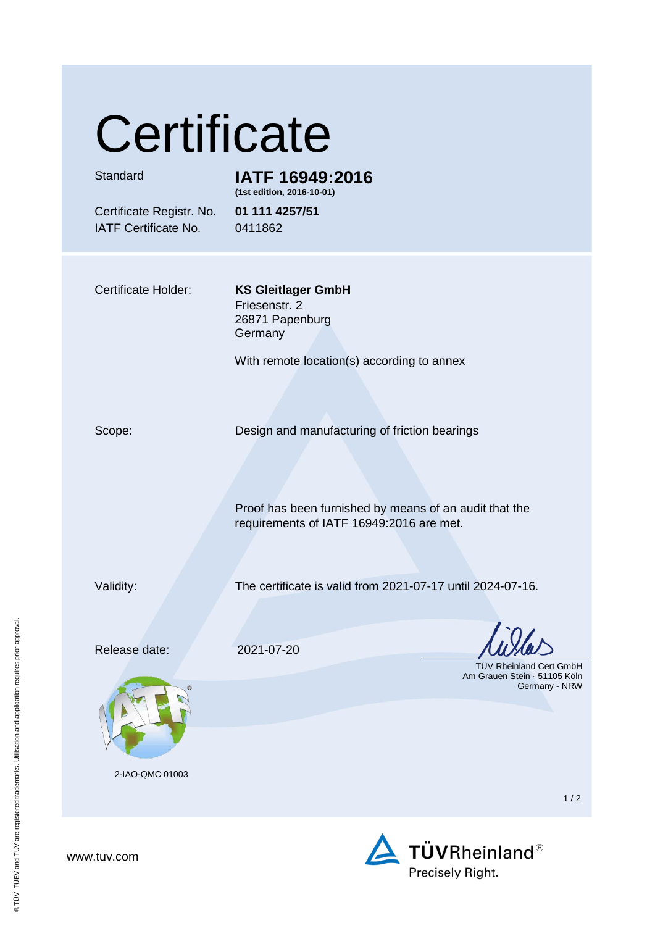# **Certificate**

### Standard **IATF 16949:2016 (1st edition, 2016-10-01)**

Certificate Registr. No. **01 111 4257/51** IATF Certificate No. 0411862

Certificate Holder: **KS Gleitlager GmbH**

Friesenstr. 2 26871 Papenburg Germany

With remote location(s) according to annex

Scope: Design and manufacturing of friction bearings

Proof has been furnished by means of an audit that the requirements of IATF 16949:2016 are met.

Validity: The certificate is valid from 2021-07-17 until 2024-07-16.

Release date: 2021-07-20



2-IAO-QMC 01003

 TÜV Rheinland Cert GmbH Am Grauen Stein · 51105 Köln Germany - NRW

1 / 2



www.tuv.com